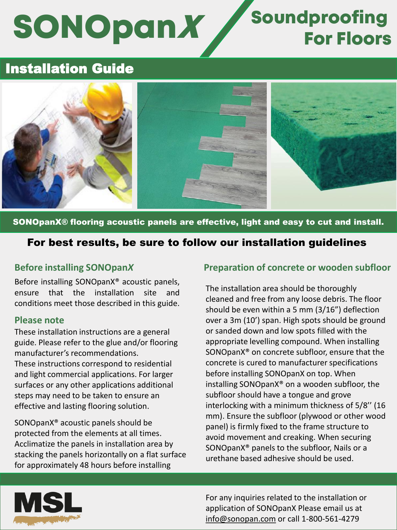# **SONOpanX**

## Soundproofing For Floors

## Installation Guide



### SONOpanX® flooring acoustic panels are effective, light and easy to cut and install.

## For best results, be sure to follow our installation guidelines

## **Before installing SONOpan***X*

Before installing SONOpanX® acoustic panels, ensure that the installation site and conditions meet those described in this guide.

#### **Please note**

These installation instructions are a general guide. Please refer to the glue and/or flooring manufacturer's recommendations. These instructions correspond to residential and light commercial applications. For larger surfaces or any other applications additional steps may need to be taken to ensure an effective and lasting flooring solution.

SONOpanX® acoustic panels should be protected from the elements at all times. Acclimatize the panels in installation area by stacking the panels horizontally on a flat surface for approximately 48 hours before installing

## **Preparation of concrete or wooden subfloor**

The installation area should be thoroughly cleaned and free from any loose debris. The floor should be even within a 5 mm (3/16") deflection over a 3m (10') span. High spots should be ground or sanded down and low spots filled with the appropriate levelling compound. When installing SONOpanX® on concrete subfloor, ensure that the concrete is cured to manufacturer specifications before installing SONOpanX on top. When installing SONOpanX® on a wooden subfloor, the subfloor should have a tongue and grove interlocking with a minimum thickness of 5/8'' (16 mm). Ensure the subfloor (plywood or other wood panel) is firmly fixed to the frame structure to avoid movement and creaking. When securing SONOpanX® panels to the subfloor, Nails or a urethane based adhesive should be used.



For any inquiries related to the installation or application of SONOpanX Please email us at [info@sonopan.com](mailto:info@sonopan.com) or call 1-800-561-4279